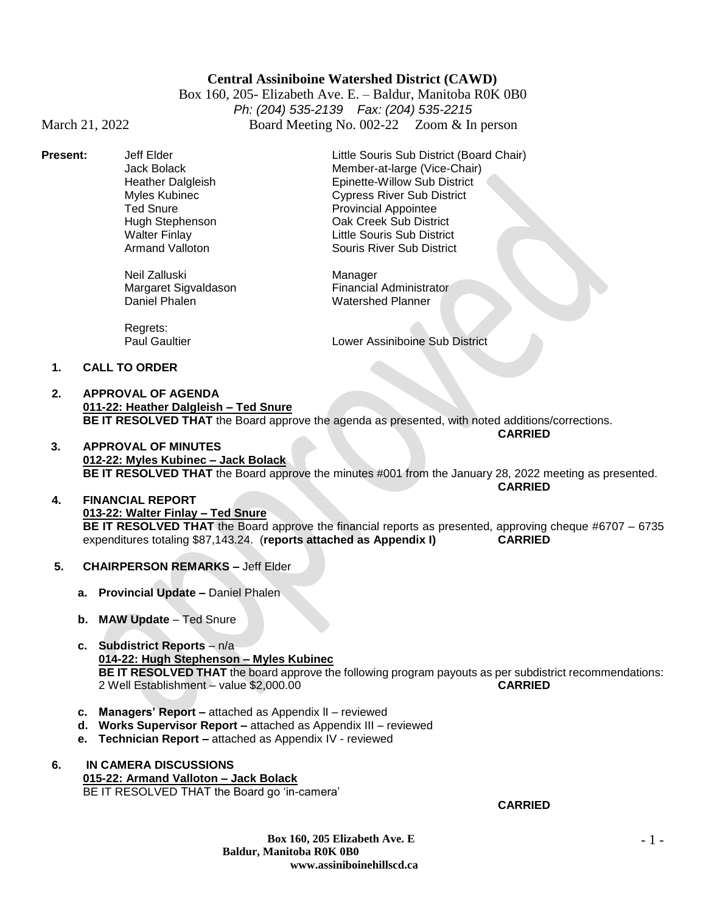# **Central Assiniboine Watershed District (CAWD)**

Box 160, 205- Elizabeth Ave. E. – Baldur, Manitoba R0K 0B0 *Ph: (204) 535-2139 Fax: (204) 535-2215* March 21, 2022 Board Meeting No. 002-22 Zoom & In person

Neil Zalluski Manager<br>Margaret Sigvaldason Margaret Sigvaldason

**Present:** Jeff Elder Little Souris Sub District (Board Chair) Jack Bolack Member-at-large (Vice-Chair) Heather Dalgleish Epinette-Willow Sub District Myles Kubinec **Cypress River Sub District**<br>
Ted Snure Cypress River Sub District<br>
Provincial Appointee Provincial Appointee Hugh Stephenson Oak Creek Sub District Walter Finlay Little Souris Sub District **Souris River Sub District** 

> Margaret Sigvaldason Financial Administrator<br>
> Daniel Phalen Margaret Matershed Planner Watershed Planner

Regrets:

Paul Gaultier **Lower Assiniboine Sub District** 

### **1. CALL TO ORDER**

- **2. APPROVAL OF AGENDA 011-22: Heather Dalgleish – Ted Snure BE IT RESOLVED THAT** the Board approve the agenda as presented, with noted additions/corrections. **CARRIED**
- **3. APPROVAL OF MINUTES 012-22: Myles Kubinec – Jack Bolack BE IT RESOLVED THAT** the Board approve the minutes #001 from the January 28, 2022 meeting as presented. **CARRIED**

## **4. FINANCIAL REPORT 013-22: Walter Finlay – Ted Snure BE IT RESOLVED THAT** the Board approve the financial reports as presented, approving cheque #6707 – 6735 expenditures totaling \$87,143.24. (**reports attached as Appendix I) CARRIED**

- **5. CHAIRPERSON REMARKS –** Jeff Elder
	- **a. Provincial Update –** Daniel Phalen
	- **b. MAW Update**  Ted Snure
	- **c. Subdistrict Reports**  n/a **014-22: Hugh Stephenson – Myles Kubinec BE IT RESOLVED THAT** the board approve the following program payouts as per subdistrict recommendations: 2 Well Establishment – value \$2,000.00 **CARRIED**
	- **c. Managers' Report –** attached as Appendix lI reviewed
	- **d. Works Supervisor Report –** attached as Appendix III reviewed
	- **e. Technician Report –** attached as Appendix IV reviewed
- **6. IN CAMERA DISCUSSIONS 015-22: Armand Valloton – Jack Bolack** BE IT RESOLVED THAT the Board go 'in-camera'

## **CARRIED**

**Box 160, 205 Elizabeth Ave. E Baldur, Manitoba R0K 0B0 www.assiniboinehillscd.ca**